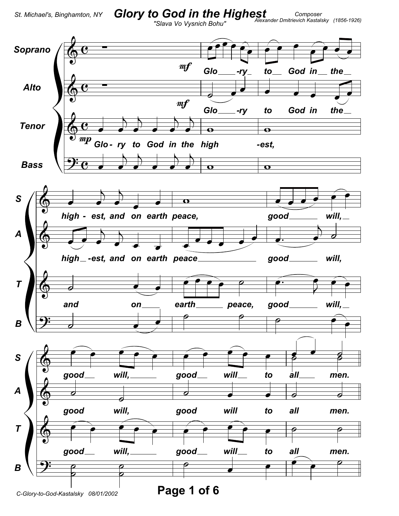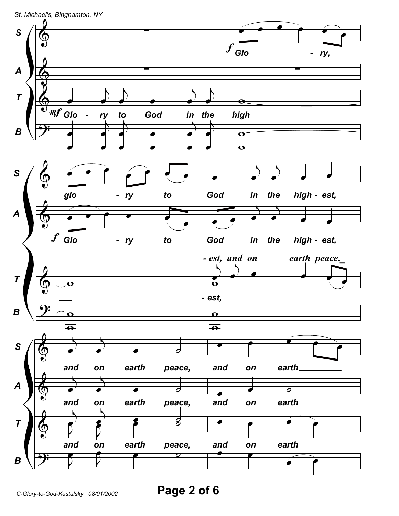

Page 2 of 6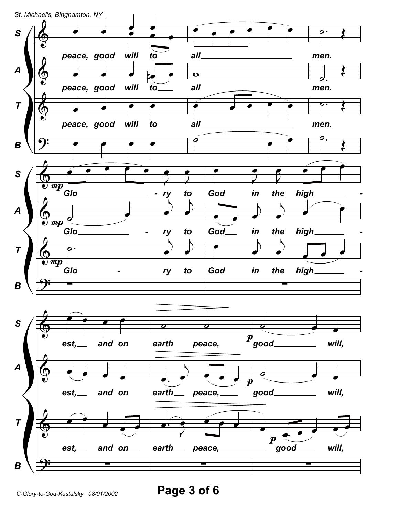

Page 3 of 6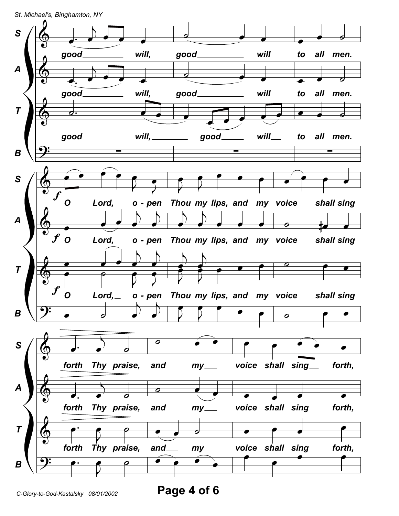*St. Michael's, Binghamton, NY*

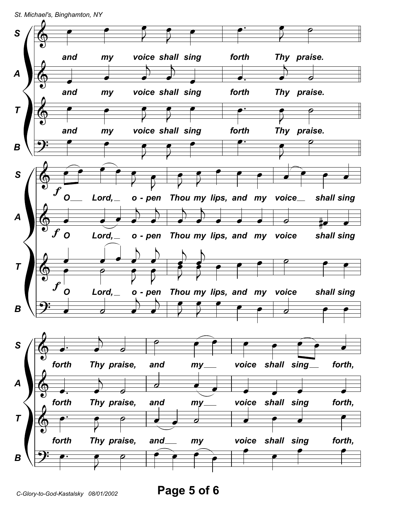*St. Michael's, Binghamton, NY*



*C-Glory-to-God-Kastalsky 08/01/2002* **Page 5 of 6**